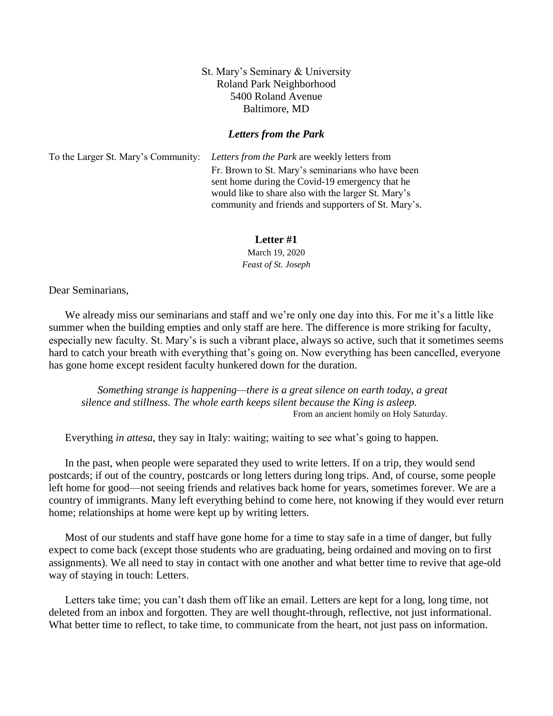## St. Mary's Seminary & University Roland Park Neighborhood 5400 Roland Avenue Baltimore, MD

## *Letters from the Park*

To the Larger St. Mary's Community: *Letters from the Park* are weekly letters from Fr. Brown to St. Mary's seminarians who have been sent home during the Covid-19 emergency that he would like to share also with the larger St. Mary's community and friends and supporters of St. Mary's.

## **Letter #1**

March 19, 2020 *Feast of St. Joseph*

Dear Seminarians,

We already miss our seminarians and staff and we're only one day into this. For me it's a little like summer when the building empties and only staff are here. The difference is more striking for faculty, especially new faculty. St. Mary's is such a vibrant place, always so active, such that it sometimes seems hard to catch your breath with everything that's going on. Now everything has been cancelled, everyone has gone home except resident faculty hunkered down for the duration.

*Something strange is happening—there is a great silence on earth today, a great silence and stillness. The whole earth keeps silent because the King is asleep.* From an ancient homily on Holy Saturday.

Everything *in attesa*, they say in Italy: waiting; waiting to see what's going to happen.

In the past, when people were separated they used to write letters. If on a trip, they would send postcards; if out of the country, postcards or long letters during long trips. And, of course, some people left home for good—not seeing friends and relatives back home for years, sometimes forever. We are a country of immigrants. Many left everything behind to come here, not knowing if they would ever return home; relationships at home were kept up by writing letters.

Most of our students and staff have gone home for a time to stay safe in a time of danger, but fully expect to come back (except those students who are graduating, being ordained and moving on to first assignments). We all need to stay in contact with one another and what better time to revive that age-old way of staying in touch: Letters.

Letters take time; you can't dash them off like an email. Letters are kept for a long, long time, not deleted from an inbox and forgotten. They are well thought-through, reflective, not just informational. What better time to reflect, to take time, to communicate from the heart, not just pass on information.